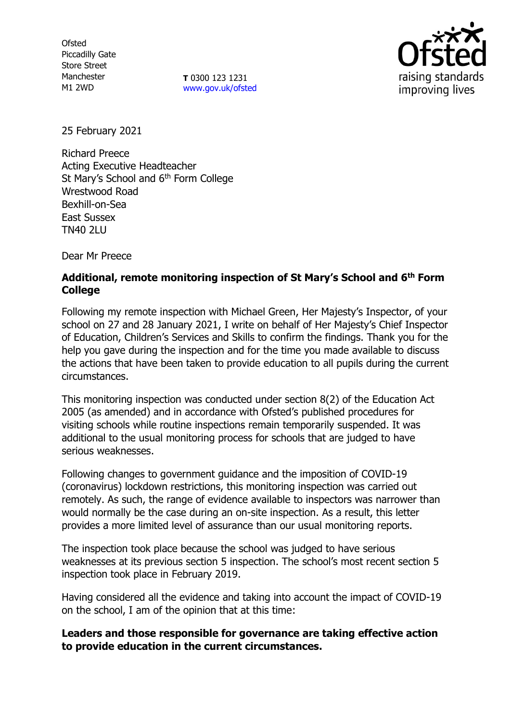**Ofsted** Piccadilly Gate Store Street Manchester M1 2WD

**T** 0300 123 1231 [www.gov.uk/ofsted](http://www.gov.uk/ofsted)



25 February 2021

Richard Preece Acting Executive Headteacher St Mary's School and 6<sup>th</sup> Form College Wrestwood Road Bexhill-on-Sea East Sussex TN40 2LU

Dear Mr Preece

# **Additional, remote monitoring inspection of St Mary's School and 6th Form College**

Following my remote inspection with Michael Green, Her Majesty's Inspector, of your school on 27 and 28 January 2021, I write on behalf of Her Majesty's Chief Inspector of Education, Children's Services and Skills to confirm the findings. Thank you for the help you gave during the inspection and for the time you made available to discuss the actions that have been taken to provide education to all pupils during the current circumstances.

This monitoring inspection was conducted under section 8(2) of the Education Act 2005 (as amended) and in accordance with Ofsted's published procedures for visiting schools while routine inspections remain temporarily suspended. It was additional to the usual monitoring process for schools that are judged to have serious weaknesses.

Following changes to government guidance and the imposition of COVID-19 (coronavirus) lockdown restrictions, this monitoring inspection was carried out remotely. As such, the range of evidence available to inspectors was narrower than would normally be the case during an on-site inspection. As a result, this letter provides a more limited level of assurance than our usual monitoring reports.

The inspection took place because the school was judged to have serious weaknesses at its previous section 5 inspection. The school's most recent section 5 inspection took place in February 2019.

Having considered all the evidence and taking into account the impact of COVID-19 on the school, I am of the opinion that at this time:

## **Leaders and those responsible for governance are taking effective action to provide education in the current circumstances.**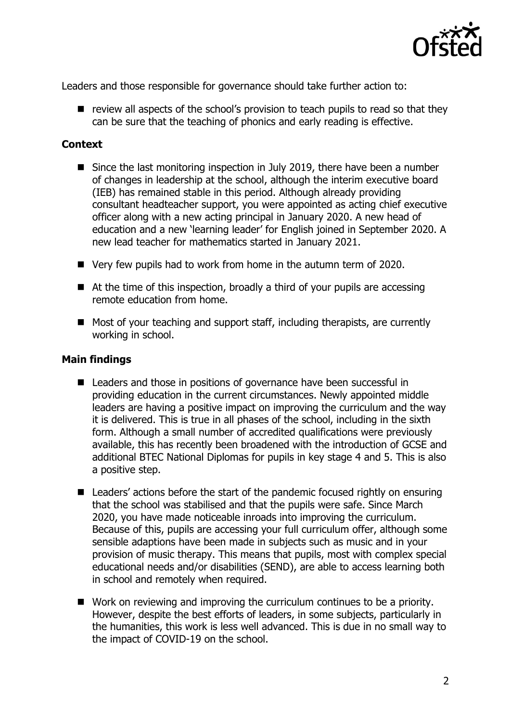

Leaders and those responsible for governance should take further action to:

 $\blacksquare$  review all aspects of the school's provision to teach pupils to read so that they can be sure that the teaching of phonics and early reading is effective.

### **Context**

- Since the last monitoring inspection in July 2019, there have been a number of changes in leadership at the school, although the interim executive board (IEB) has remained stable in this period. Although already providing consultant headteacher support, you were appointed as acting chief executive officer along with a new acting principal in January 2020. A new head of education and a new 'learning leader' for English joined in September 2020. A new lead teacher for mathematics started in January 2021.
- Very few pupils had to work from home in the autumn term of 2020.
- At the time of this inspection, broadly a third of your pupils are accessing remote education from home.
- Most of your teaching and support staff, including therapists, are currently working in school.

### **Main findings**

- Leaders and those in positions of governance have been successful in providing education in the current circumstances. Newly appointed middle leaders are having a positive impact on improving the curriculum and the way it is delivered. This is true in all phases of the school, including in the sixth form. Although a small number of accredited qualifications were previously available, this has recently been broadened with the introduction of GCSE and additional BTEC National Diplomas for pupils in key stage 4 and 5. This is also a positive step.
- Leaders' actions before the start of the pandemic focused rightly on ensuring that the school was stabilised and that the pupils were safe. Since March 2020, you have made noticeable inroads into improving the curriculum. Because of this, pupils are accessing your full curriculum offer, although some sensible adaptions have been made in subjects such as music and in your provision of music therapy. This means that pupils, most with complex special educational needs and/or disabilities (SEND), are able to access learning both in school and remotely when required.
- Work on reviewing and improving the curriculum continues to be a priority. However, despite the best efforts of leaders, in some subjects, particularly in the humanities, this work is less well advanced. This is due in no small way to the impact of COVID-19 on the school.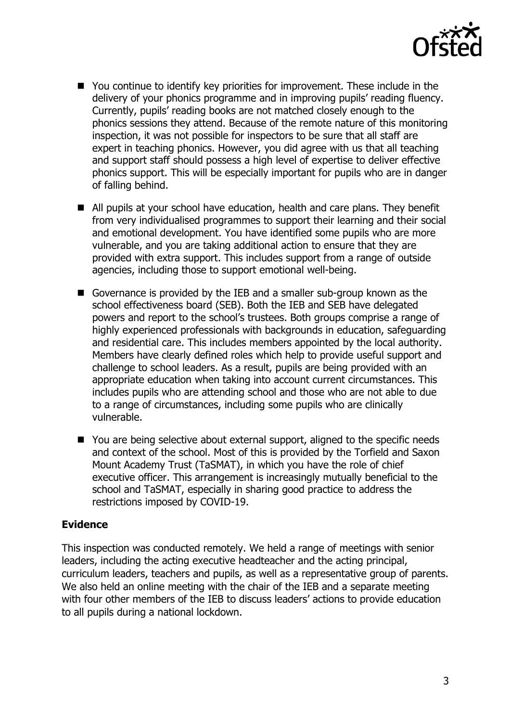

- You continue to identify key priorities for improvement. These include in the delivery of your phonics programme and in improving pupils' reading fluency. Currently, pupils' reading books are not matched closely enough to the phonics sessions they attend. Because of the remote nature of this monitoring inspection, it was not possible for inspectors to be sure that all staff are expert in teaching phonics. However, you did agree with us that all teaching and support staff should possess a high level of expertise to deliver effective phonics support. This will be especially important for pupils who are in danger of falling behind.
- All pupils at your school have education, health and care plans. They benefit from very individualised programmes to support their learning and their social and emotional development. You have identified some pupils who are more vulnerable, and you are taking additional action to ensure that they are provided with extra support. This includes support from a range of outside agencies, including those to support emotional well-being.
- Governance is provided by the IEB and a smaller sub-group known as the school effectiveness board (SEB). Both the IEB and SEB have delegated powers and report to the school's trustees. Both groups comprise a range of highly experienced professionals with backgrounds in education, safeguarding and residential care. This includes members appointed by the local authority. Members have clearly defined roles which help to provide useful support and challenge to school leaders. As a result, pupils are being provided with an appropriate education when taking into account current circumstances. This includes pupils who are attending school and those who are not able to due to a range of circumstances, including some pupils who are clinically vulnerable.
- You are being selective about external support, aligned to the specific needs and context of the school. Most of this is provided by the Torfield and Saxon Mount Academy Trust (TaSMAT), in which you have the role of chief executive officer. This arrangement is increasingly mutually beneficial to the school and TaSMAT, especially in sharing good practice to address the restrictions imposed by COVID-19.

### **Evidence**

This inspection was conducted remotely. We held a range of meetings with senior leaders, including the acting executive headteacher and the acting principal, curriculum leaders, teachers and pupils, as well as a representative group of parents. We also held an online meeting with the chair of the IEB and a separate meeting with four other members of the IEB to discuss leaders' actions to provide education to all pupils during a national lockdown.